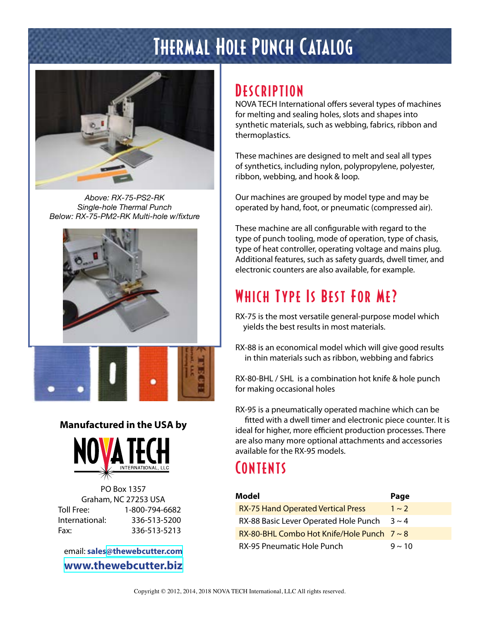## Thermal Hole Punch Catalog



*Above: RX-75-PS2-RK Single-hole Thermal Punch Below: RX-75-PM2-RK Multi-hole w/fixture*





#### **Manufactured in the USA by**



PO Box 1357 Graham, NC 27253 USA Toll Free: 1-800-794-6682 International: 336-513-5200 Fax: 336-513-5213

email: **sales[@thewebcutter.com](mailto:sales%40thewebcutter.com?subject=Information%20request%3A%20RX-75) [www.thewebcutter.biz](http://www.thewebcutter.biz)**

## **DESCRIPTION**

NOVA TECH International offers several types of machines for melting and sealing holes, slots and shapes into synthetic materials, such as webbing, fabrics, ribbon and thermoplastics.

These machines are designed to melt and seal all types of synthetics, including nylon, polypropylene, polyester, ribbon, webbing, and hook & loop.

Our machines are grouped by model type and may be operated by hand, foot, or pneumatic (compressed air).

These machine are all configurable with regard to the type of punch tooling, mode of operation, type of chasis, type of heat controller, operating voltage and mains plug. Additional features, such as safety guards, dwell timer, and electronic counters are also available, for example.

## Which Type Is Best For Me?

RX-75 is the most versatile general-purpose model which yields the best results in most materials.

RX-88 is an economical model which will give good results in thin materials such as ribbon, webbing and fabrics

RX-80-BHL / SHL is a combination hot knife & hole punch for making occasional holes

RX-95 is a pneumatically operated machine which can be

fitted with a dwell timer and electronic piece counter. It is ideal for higher, more efficient production processes. There are also many more optional attachments and accessories available for the RX-95 models.

## **CONTENTS**

| Model                                           | Page        |
|-------------------------------------------------|-------------|
| <b>RX-75 Hand Operated Vertical Press</b>       | $1 \sim 2$  |
| RX-88 Basic Lever Operated Hole Punch           | $3 \sim 4$  |
| RX-80-BHL Combo Hot Knife/Hole Punch $7 \sim 8$ |             |
| RX-95 Pneumatic Hole Punch                      | $9 \sim 10$ |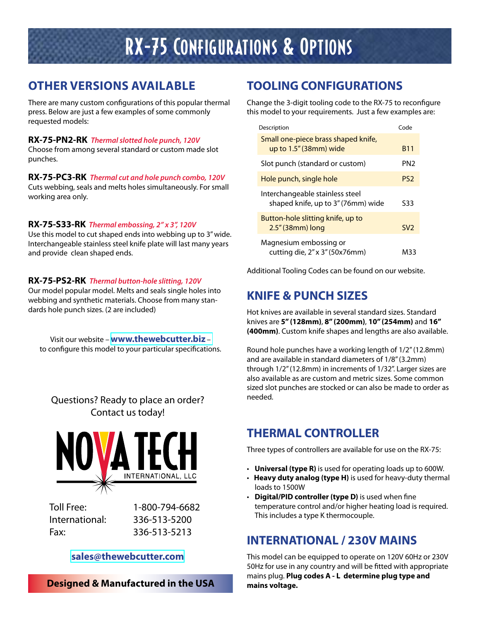## RX-75 Configurations & Options

#### **OTHER VERSIONS AVAILABLE**

There are many custom configurations of this popular thermal press. Below are just a few examples of some commonly requested models:

#### **RX-75-PN2-RK** *Thermal slotted hole punch, 120V* Choose from among several standard or custom made slot

punches.

**RX-75-PC3-RK** *Thermal cut and hole punch combo, 120V*

Cuts webbing, seals and melts holes simultaneously. For small working area only.

#### **RX-75-S33-RK** *Thermal embossing, 2" x 3", 120V*

Use this model to cut shaped ends into webbing up to 3" wide. Interchangeable stainless steel knife plate will last many years and provide clean shaped ends.

#### **RX-75-PS2-RK** *Thermal button-hole slitting, 120V*

Our model popular model. Melts and seals single holes into webbing and synthetic materials. Choose from many standards hole punch sizes. (2 are included)

Visit our website –**[www.thewebcutter.biz](http://www.thewebcutter.biz/rx75)** – to configure this model to your particular specifications.

#### Questions? Ready to place an order? Contact us today!



Toll Free: 1-800-794-6682 International: 336-513-5200 [F](http://www.thewebcutter.com)ax: 336-513-5213

#### **[sales@thewebcutter.com](mailto:sales%40thewebcutter.com?subject=Information%20request%3A%20RX-75)**

**Designed & Manufactured in the USA**

#### **TOOLING CONFIGURATIONS**

Change the 3-digit tooling code to the RX-75 to reconfigure this model to your requirements. Just a few examples are:

| Description                                                           | Code            |
|-----------------------------------------------------------------------|-----------------|
| Small one-piece brass shaped knife,<br>up to 1.5" (38mm) wide         | <b>B11</b>      |
| Slot punch (standard or custom)                                       | PN2             |
| Hole punch, single hole                                               | PS <sub>2</sub> |
| Interchangeable stainless steel<br>shaped knife, up to 3" (76mm) wide | S33             |
| Button-hole slitting knife, up to<br>$2.5$ " (38mm) long              | SV <sub>2</sub> |
| Magnesium embossing or<br>cutting die, 2" x 3" (50x76mm)              | M33             |

Additional Tooling Codes can be found on our website.

### **KNIFE & PUNCH SIZES**

Hot knives are available in several standard sizes. Standard knives are **5" (128mm)**, **8" (200mm)**, **10" (254mm)** and **16" (400mm)**. Custom knife shapes and lengths are also available.

Round hole punches have a working length of 1/2" (12.8mm) and are available in standard diameters of 1/8" (3.2mm) through 1/2" (12.8mm) in increments of 1/32". Larger sizes are also available as are custom and metric sizes. Some common sized slot punches are stocked or can also be made to order as needed.

#### **THERMAL CONTROLLER**

Three types of controllers are available for use on the RX-75:

- **Universal (type R)** is used for operating loads up to 600W.
- **Heavy duty analog (type H)** is used for heavy-duty thermal loads to 1500W
- **Digital/PID controller (type D)** is used when fine temperature control and/or higher heating load is required. This includes a type K thermocouple.

#### **INTERNATIONAL / 230V MAINS**

This model can be equipped to operate on 120V 60Hz or 230V 50Hz for use in any country and will be fitted with appropriate mains plug. **Plug codes A - L determine plug type and mains voltage.**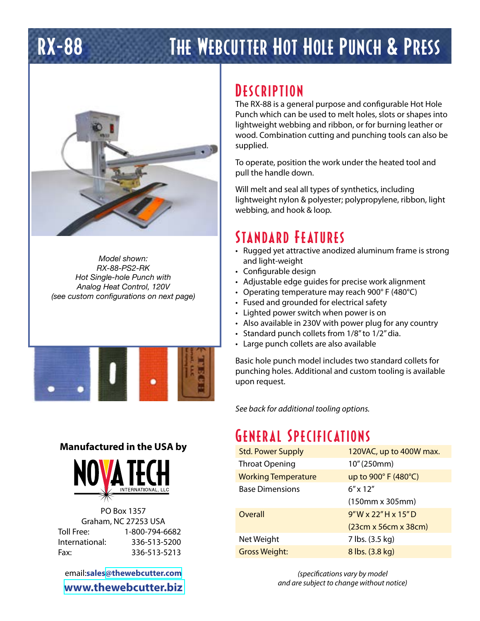# RX-88 The Webcutter Hot Hole Punch & Press



*Model shown: RX-88-PS2-RK Hot Single-hole Punch with Analog Heat Control, 120V (see custom configurations on next page)*



#### **Manufactured in the USA by**



PO Box 1357 Graham, NC 27253 USA Toll Free: 1-800-794-6682 International: 336-513-5200 Fax: 336-513-5213

email:**sale[s@thewebcutter.com](mailto:sales%40thewebcutter.com?subject=Information%20request%3A%20RX-88) [www.thewebcutter.biz](http://www.thewebcutter.biz)**

### **DESCRIPTION**

The RX-88 is a general purpose and configurable Hot Hole Punch which can be used to melt holes, slots or shapes into lightweight webbing and ribbon, or for burning leather or wood. Combination cutting and punching tools can also be supplied.

To operate, position the work under the heated tool and pull the handle down.

Will melt and seal all types of synthetics, including lightweight nylon & polyester; polypropylene, ribbon, light webbing, and hook & loop.

### Standard Features

- Rugged yet attractive anodized aluminum frame is strong and light-weight
- Configurable design
- Adjustable edge guides for precise work alignment
- Operating temperature may reach 900° F (480°C)
- Fused and grounded for electrical safety
- Lighted power switch when power is on
- Also available in 230V with power plug for any country
- Standard punch collets from 1/8" to 1/2" dia.
- Large punch collets are also available

Basic hole punch model includes two standard collets for punching holes. Additional and custom tooling is available upon request.

*See back for additional tooling options.*

## General Specifications

| <b>Std. Power Supply</b>   | 120VAC, up to 400W max. |
|----------------------------|-------------------------|
| <b>Throat Opening</b>      | 10" (250mm)             |
| <b>Working Temperature</b> | up to 900° F (480°C)    |
| <b>Base Dimensions</b>     | $6'' \times 12''$       |
|                            | $(150mm \times 305mm)$  |
| Overall                    | 9"W x 22"H x 15"D       |
|                            | (23cm x 56cm x 38cm)    |
| Net Weight                 | 7 lbs. (3.5 kg)         |
| <b>Gross Weight:</b>       | 8 lbs. (3.8 kg)         |

*(specifications vary by model and are subject to change without notice)*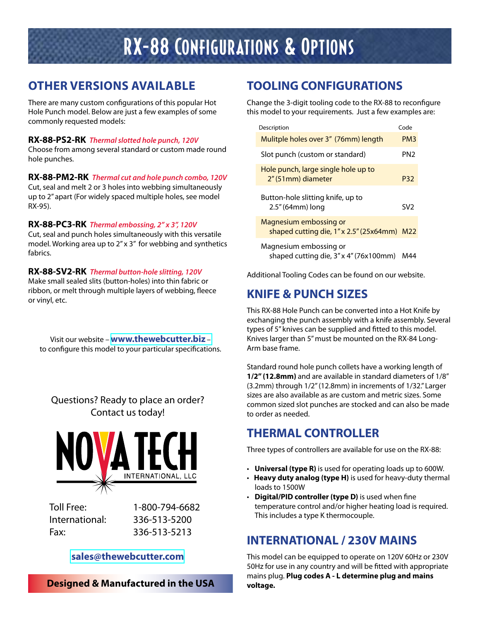## RX-88 Configurations & Options

#### **OTHER VERSIONS AVAILABLE**

There are many custom configurations of this popular Hot Hole Punch model. Below are just a few examples of some commonly requested models:

#### **RX-88-PS2-RK** *Thermal slotted hole punch, 120V*

Choose from among several standard or custom made round hole punches.

**RX-88-PM2-RK** *Thermal cut and hole punch combo, 120V*

Cut, seal and melt 2 or 3 holes into webbing simultaneously up to 2" apart (For widely spaced multiple holes, see model RX-95).

#### **RX-88-PC3-RK** *Thermal embossing, 2" x 3", 120V*

Cut, seal and punch holes simultaneously with this versatile model. Working area up to 2" x 3" for webbing and synthetics fabrics.

#### **RX-88-SV2-RK** *Thermal button-hole slitting, 120V*

Make small sealed slits (button-holes) into thin fabric or ribbon, or melt through multiple layers of webbing, fleece or vinyl, etc.

Visit our website –**[www.thewebcutter.biz](http://www.thewebcutter.biz/rx75)** – to configure this model to your particular specifications.

#### Questions? Ready to place an order? Contact us today!



Toll Free: 1-800-794-6682 International: 336-513-5200 [F](http://www.thewebcutter.com)ax: 336-513-5213

#### **[sales@thewebcutter.com](mailto:sales%40thewebcutter.com?subject=Information%20request%3A%20RX-88)**

**Designed & Manufactured in the USA**

#### **TOOLING CONFIGURATIONS**

Change the 3-digit tooling code to the RX-88 to reconfigure this model to your requirements. Just a few examples are:

| Description                                                           | Code            |
|-----------------------------------------------------------------------|-----------------|
| Mulitple holes over 3" (76mm) length                                  | PM <sub>3</sub> |
| Slot punch (custom or standard)                                       | PN <sub>2</sub> |
| Hole punch, large single hole up to<br>2" (51mm) diameter             | P32             |
| Button-hole slitting knife, up to<br>$2.5''$ (64mm) long              | SV <sub>2</sub> |
| Magnesium embossing or<br>shaped cutting die, 1" x 2.5" (25x64mm) M22 |                 |
| Magnesium embossing or<br>shaped cutting die, 3" x 4" (76x100mm)      | M44             |

Additional Tooling Codes can be found on our website.

#### **KNIFE & PUNCH SIZES**

This RX-88 Hole Punch can be converted into a Hot Knife by exchanging the punch assembly with a knife assembly. Several types of 5" knives can be supplied and fitted to this model. Knives larger than 5" must be mounted on the RX-84 Long-Arm base frame.

Standard round hole punch collets have a working length of **1/2" (12.8mm)** and are available in standard diameters of 1/8" (3.2mm) through 1/2" (12.8mm) in increments of 1/32." Larger sizes are also available as are custom and metric sizes. Some common sized slot punches are stocked and can also be made to order as needed.

#### **THERMAL CONTROLLER**

Three types of controllers are available for use on the RX-88:

- **Universal (type R)** is used for operating loads up to 600W.
- **Heavy duty analog (type H)** is used for heavy-duty thermal loads to 1500W
- **Digital/PID controller (type D)** is used when fine temperature control and/or higher heating load is required. This includes a type K thermocouple.

#### **INTERNATIONAL / 230V MAINS**

This model can be equipped to operate on 120V 60Hz or 230V 50Hz for use in any country and will be fitted with appropriate mains plug. **Plug codes A - L determine plug and mains voltage.**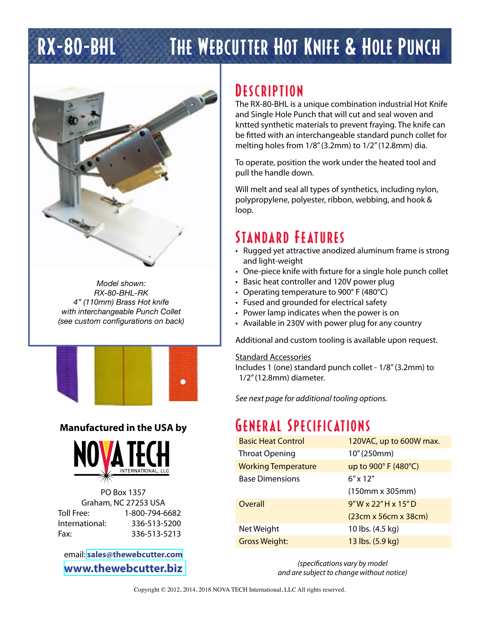# RX-80-BHL The Webcutter Hot Knife & Hole Punch



*Model shown: RX-80-BHL-RK 4" (110mm) Brass Hot knife with interchangeable Punch Collet (see custom configurations on back)*



#### **Manufactured in the USA by**



PO Box 1357 Graham, NC 27253 USA Toll Free: 1-800-794-6682 International: 336-513-5200 Fax: 336-513-5213

email: **[sales@thewebcutter.com](mailto:sales%40thewebcutter.com?subject=Information%20request%3A%20RX-80-BHL) [www.thewebcutter.biz](http:/www.thewebcutter.biz/bhl-shl)**

### **DESCRIPTION**

The RX-80-BHL is a unique combination industrial Hot Knife and Single Hole Punch that will cut and seal woven and kntted synthetic materials to prevent fraying. The knife can be fitted with an interchangeable standard punch collet for melting holes from 1/8" (3.2mm) to 1/2" (12.8mm) dia.

To operate, position the work under the heated tool and pull the handle down.

Will melt and seal all types of synthetics, including nylon, polypropylene, polyester, ribbon, webbing, and hook & loop.

### Standard Features

- Rugged yet attractive anodized aluminum frame is strong and light-weight
- One-piece knife with fixture for a single hole punch collet
- Basic heat controller and 120V power plug
- Operating temperature to 900° F (480°C)
- Fused and grounded for electrical safety
- Power lamp indicates when the power is on
- Available in 230V with power plug for any country

Additional and custom tooling is available upon request.

#### Standard Accessories

Includes 1 (one) standard punch collet - 1/8" (3.2mm) to 1/2" (12.8mm) diameter.

*See next page for additional tooling options.*

## General Specifications

| <b>Basic Heat Control</b>  | 120VAC, up to 600W max. |
|----------------------------|-------------------------|
| <b>Throat Opening</b>      | 10" (250mm)             |
| <b>Working Temperature</b> | up to 900° F (480°C)    |
| <b>Base Dimensions</b>     | $6'' \times 12''$       |
|                            | $(150mm \times 305mm)$  |
| Overall                    | $9"$ W x 22" H x 15" D  |
|                            | (23cm x 56cm x 38cm)    |
| Net Weight                 | 10 lbs. (4.5 kg)        |
| <b>Gross Weight:</b>       | 13 lbs. (5.9 kg)        |

*(specifications vary by model and are subject to change without notice)*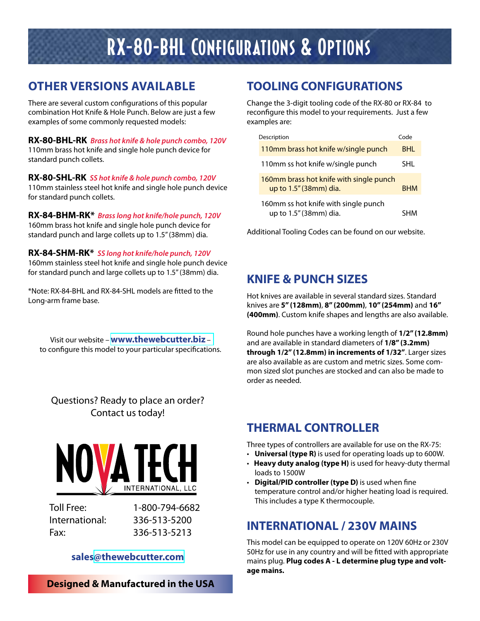## RX-80-BHL Configurations & Options

### **OTHER VERSIONS AVAILABLE**

There are several custom configurations of this popular combination Hot Knife & Hole Punch. Below are just a few examples of some commonly requested models:

**RX-80-BHL-RK** *Brass hot knife & hole punch combo, 120V* 110mm brass hot knife and single hole punch device for standard punch collets.

**RX-80-SHL-RK** *SS hot knife & hole punch combo, 120V* 110mm stainless steel hot knife and single hole punch device for standard punch collets.

**RX-84-BHM-RK\*** *Brass long hot knife/hole punch, 120V* 160mm brass hot knife and single hole punch device for standard punch and large collets up to 1.5" (38mm) dia.

#### **RX-84-SHM-RK\*** *SS long hot knife/hole punch, 120V*

160mm stainless steel hot knife and single hole punch device for standard punch and large collets up to 1.5" (38mm) dia.

\*Note: RX-84-BHL and RX-84-SHL models are fitted to the Long-arm frame base.

Visit our website –**[www.thewebcutter.biz](http://www.thewebcutter.biz/bhl-shl)** – to configure this model to your particular specifications.

Questions? Ready to place an order? Contact us today!



Toll Free: 1-800-794-6682 Fax: 336-513-5213

International: 336-513-5200

#### **sales[@thewebcutter.com](mailto:sales%40thewebcutter.com?subject=Information%20request%3A%20RX-80-BHL)**

**Designed & Manufactured in the USA**

#### **TOOLING CONFIGURATIONS**

Change the 3-digit tooling code of the RX-80 or RX-84 to reconfigure this model to your requirements. Just a few examples are:

| Description                                                       | Code       |
|-------------------------------------------------------------------|------------|
| 110mm brass hot knife w/single punch                              | BHI.       |
| 110mm ss hot knife w/single punch                                 | SHL.       |
| 160mm brass hot knife with single punch<br>up to 1.5" (38mm) dia. | <b>RHM</b> |
| 160mm ss hot knife with single punch<br>up to 1.5" (38mm) dia.    | кнм        |

Additional Tooling Codes can be found on our website.

#### **KNIFE & PUNCH SIZES**

Hot knives are available in several standard sizes. Standard knives are **5" (128mm)**, **8" (200mm)**, **10" (254mm)** and **16" (400mm)**. Custom knife shapes and lengths are also available.

Round hole punches have a working length of **1/2" (12.8mm)**  and are available in standard diameters of **1/8" (3.2mm) through 1/2" (12.8mm) in increments of 1/32"**. Larger sizes are also available as are custom and metric sizes. Some common sized slot punches are stocked and can also be made to order as needed.

#### **THERMAL CONTROLLER**

Three types of controllers are available for use on the RX-75:

- **Universal (type R)** is used for operating loads up to 600W.
- **Heavy duty analog (type H)** is used for heavy-duty thermal loads to 1500W
- **Digital/PID controller (type D)** is used when fine temperature control and/or higher heating load is required. This includes a type K thermocouple.

#### **INTERNATIONAL / 230V MAINS**

This model can be equipped to operate on 120V 60Hz or 230V 50Hz for use in any country and will be fitted with appropriate mains plug. **Plug codes A - L determine plug type and voltage mains.**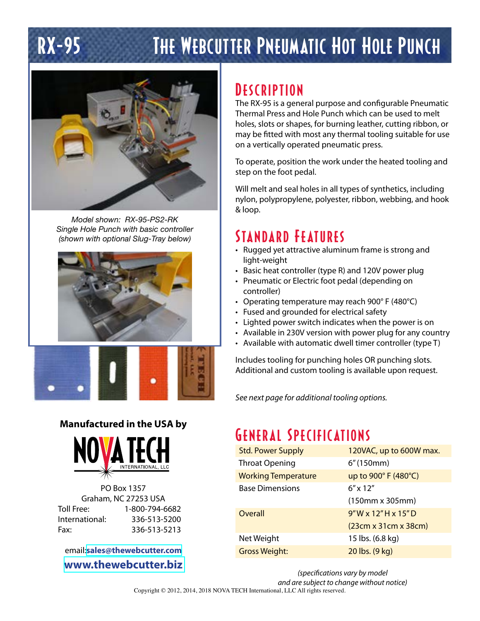# RX-95 The Webcutter Pneumatic Hot Hole Punch



*Model shown: RX-95-PS2-RK Single Hole Punch with basic controller (shown with optional Slug-Tray below)*





#### **Manufactured in the USA by**



PO Box 1357 Graham, NC 27253 USA Toll Free: 1-800-794-6682 International: 336-513-5200 Fax: 336-513-5213

email:**[sales@thewebcutter.com](mailto:sales%40thewebcutter.com?subject=Information%20request%3A%20RX-95) [www.thewebcutter.biz](http://www.thewebcutter.biz/rx95)**

## **DESCRIPTION**

The RX-95 is a general purpose and configurable Pneumatic Thermal Press and Hole Punch which can be used to melt holes, slots or shapes, for burning leather, cutting ribbon, or may be fitted with most any thermal tooling suitable for use on a vertically operated pneumatic press.

To operate, position the work under the heated tooling and step on the foot pedal.

Will melt and seal holes in all types of synthetics, including nylon, polypropylene, polyester, ribbon, webbing, and hook & loop.

## Standard Features

- Rugged yet attractive aluminum frame is strong and light-weight
- Basic heat controller (type R) and 120V power plug
- Pneumatic or Electric foot pedal (depending on controller)
- Operating temperature may reach 900° F (480°C)
- Fused and grounded for electrical safety
- Lighted power switch indicates when the power is on
- Available in 230V version with power plug for any country
- Available with automatic dwell timer controller (type T)

Includes tooling for punching holes OR punching slots. Additional and custom tooling is available upon request.

*See next page for additional tooling options.*

## General Specifications

| <b>Std. Power Supply</b>   | 120VAC, up to 600W max. |
|----------------------------|-------------------------|
| <b>Throat Opening</b>      | 6''(150mm)              |
| <b>Working Temperature</b> | up to 900° F (480°C)    |
| <b>Base Dimensions</b>     | $6'' \times 12''$       |
|                            | $(150mm \times 305mm)$  |
| Overall                    | $9''$ W x 12"H x 15"D   |
|                            | (23cm x 31cm x 38cm)    |
| Net Weight                 | 15 lbs. (6.8 kg)        |
| <b>Gross Weight:</b>       | 20 lbs. (9 kg)          |

*(specifications vary by model and are subject to change without notice)* Copyright © 2012, 2014, 2018 NOVA TECH International, LLC All rights reserved.